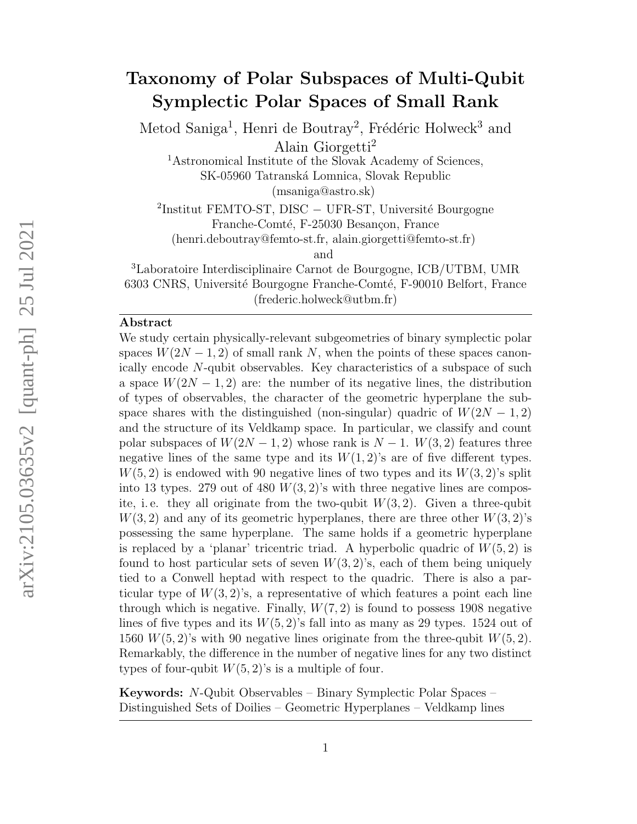### Taxonomy of Polar Subspaces of Multi-Qubit Symplectic Polar Spaces of Small Rank

Metod Saniga<sup>1</sup>, Henri de Boutray<sup>2</sup>, Frédéric Holweck<sup>3</sup> and Alain Giorgetti<sup>2</sup>

<sup>1</sup>Astronomical Institute of the Slovak Academy of Sciences,

SK-05960 Tatranská Lomnica, Slovak Republic

(msaniga@astro.sk)

<sup>2</sup>Institut FEMTO-ST, DISC – UFR-ST, Université Bourgogne Franche-Comté, F-25030 Besançon, France

(henri.deboutray@femto-st.fr, alain.giorgetti@femto-st.fr)

and

<sup>3</sup>Laboratoire Interdisciplinaire Carnot de Bourgogne, ICB/UTBM, UMR 6303 CNRS, Université Bourgogne Franche-Comté, F-90010 Belfort, France

(frederic.holweck@utbm.fr)

#### Abstract

We study certain physically-relevant subgeometries of binary symplectic polar spaces  $W(2N-1, 2)$  of small rank N, when the points of these spaces canonically encode N-qubit observables. Key characteristics of a subspace of such a space  $W(2N-1, 2)$  are: the number of its negative lines, the distribution of types of observables, the character of the geometric hyperplane the subspace shares with the distinguished (non-singular) quadric of  $W(2N-1, 2)$ and the structure of its Veldkamp space. In particular, we classify and count polar subspaces of  $W(2N-1, 2)$  whose rank is  $N-1$ .  $W(3, 2)$  features three negative lines of the same type and its  $W(1, 2)$ 's are of five different types.  $W(5, 2)$  is endowed with 90 negative lines of two types and its  $W(3, 2)$ 's split into 13 types. 279 out of 480  $W(3, 2)$ 's with three negative lines are composite, i.e. they all originate from the two-qubit  $W(3, 2)$ . Given a three-qubit  $W(3, 2)$  and any of its geometric hyperplanes, there are three other  $W(3, 2)$ 's possessing the same hyperplane. The same holds if a geometric hyperplane is replaced by a 'planar' tricentric triad. A hyperbolic quadric of  $W(5, 2)$  is found to host particular sets of seven  $W(3, 2)$ 's, each of them being uniquely tied to a Conwell heptad with respect to the quadric. There is also a particular type of  $W(3, 2)$ 's, a representative of which features a point each line through which is negative. Finally,  $W(7, 2)$  is found to possess 1908 negative lines of five types and its  $W(5, 2)$ 's fall into as many as 29 types. 1524 out of 1560  $W(5, 2)$ 's with 90 negative lines originate from the three-qubit  $W(5, 2)$ . Remarkably, the difference in the number of negative lines for any two distinct types of four-qubit  $W(5, 2)$ 's is a multiple of four.

Keywords: N-Qubit Observables – Binary Symplectic Polar Spaces – Distinguished Sets of Doilies – Geometric Hyperplanes – Veldkamp lines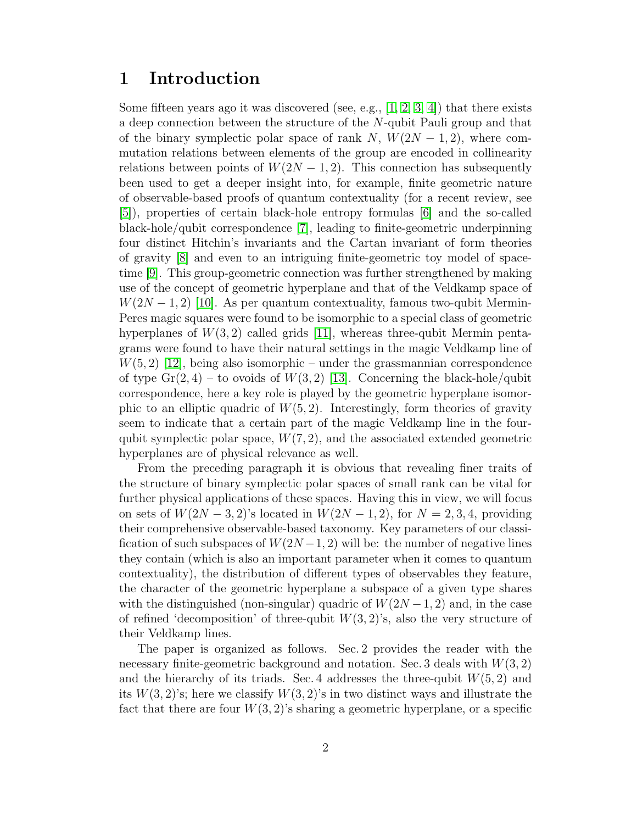#### 1 Introduction

Some fifteen years ago it was discovered (see, e.g.,  $[1, 2, 3, 4]$  $[1, 2, 3, 4]$  $[1, 2, 3, 4]$  $[1, 2, 3, 4]$ ) that there exists a deep connection between the structure of the N-qubit Pauli group and that of the binary symplectic polar space of rank N,  $W(2N-1, 2)$ , where commutation relations between elements of the group are encoded in collinearity relations between points of  $W(2N-1, 2)$ . This connection has subsequently been used to get a deeper insight into, for example, finite geometric nature of observable-based proofs of quantum contextuality (for a recent review, see [\[5\]](#page-22-4)), properties of certain black-hole entropy formulas [\[6\]](#page-22-5) and the so-called black-hole/qubit correspondence [\[7\]](#page-22-6), leading to finite-geometric underpinning four distinct Hitchin's invariants and the Cartan invariant of form theories of gravity [\[8\]](#page-22-7) and even to an intriguing finite-geometric toy model of spacetime [\[9\]](#page-22-8). This group-geometric connection was further strengthened by making use of the concept of geometric hyperplane and that of the Veldkamp space of  $W(2N-1, 2)$  [\[10\]](#page-22-9). As per quantum contextuality, famous two-qubit Mermin-Peres magic squares were found to be isomorphic to a special class of geometric hyperplanes of  $W(3, 2)$  called grids [\[11\]](#page-22-10), whereas three-qubit Mermin pentagrams were found to have their natural settings in the magic Veldkamp line of  $W(5, 2)$  [\[12\]](#page-22-11), being also isomorphic – under the grassmannian correspondence of type  $Gr(2, 4)$  – to ovoids of  $W(3, 2)$  [\[13\]](#page-22-12). Concerning the black-hole/qubit correspondence, here a key role is played by the geometric hyperplane isomorphic to an elliptic quadric of  $W(5, 2)$ . Interestingly, form theories of gravity seem to indicate that a certain part of the magic Veldkamp line in the fourqubit symplectic polar space,  $W(7, 2)$ , and the associated extended geometric hyperplanes are of physical relevance as well.

From the preceding paragraph it is obvious that revealing finer traits of the structure of binary symplectic polar spaces of small rank can be vital for further physical applications of these spaces. Having this in view, we will focus on sets of  $W(2N-3, 2)$ 's located in  $W(2N-1, 2)$ , for  $N=2, 3, 4$ , providing their comprehensive observable-based taxonomy. Key parameters of our classification of such subspaces of  $W(2N-1, 2)$  will be: the number of negative lines they contain (which is also an important parameter when it comes to quantum contextuality), the distribution of different types of observables they feature, the character of the geometric hyperplane a subspace of a given type shares with the distinguished (non-singular) quadric of  $W(2N-1, 2)$  and, in the case of refined 'decomposition' of three-qubit  $W(3, 2)$ 's, also the very structure of their Veldkamp lines.

The paper is organized as follows. Sec. 2 provides the reader with the necessary finite-geometric background and notation. Sec. 3 deals with  $W(3, 2)$ and the hierarchy of its triads. Sec. 4 addresses the three-qubit  $W(5, 2)$  and its  $W(3, 2)$ 's; here we classify  $W(3, 2)$ 's in two distinct ways and illustrate the fact that there are four  $W(3, 2)$ 's sharing a geometric hyperplane, or a specific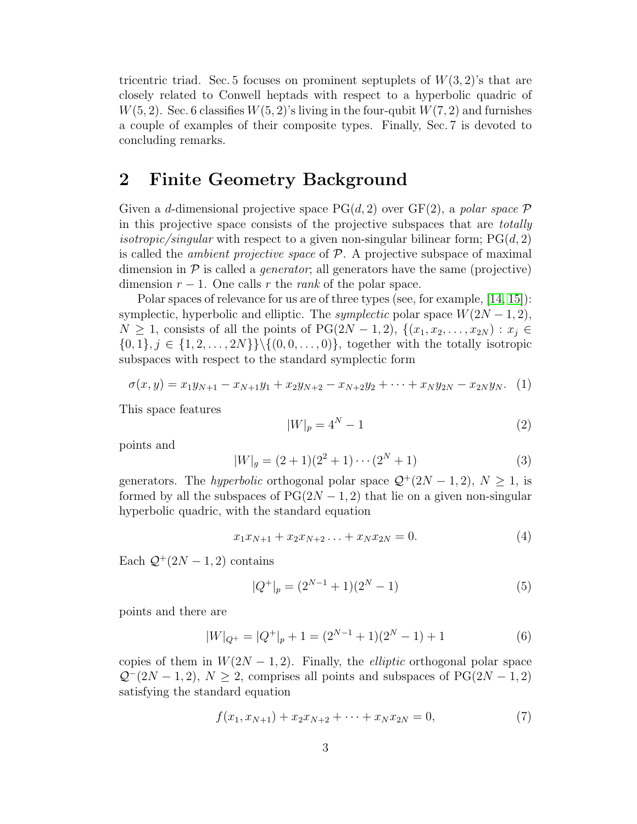tricentric triad. Sec. 5 focuses on prominent septuplets of  $W(3, 2)$ 's that are closely related to Conwell heptads with respect to a hyperbolic quadric of  $W(5, 2)$ . Sec. 6 classifies  $W(5, 2)$ 's living in the four-qubit  $W(7, 2)$  and furnishes a couple of examples of their composite types. Finally, Sec. 7 is devoted to concluding remarks.

#### 2 Finite Geometry Background

Given a d-dimensional projective space  $PG(d, 2)$  over  $GF(2)$ , a polar space P in this projective space consists of the projective subspaces that are totally *isotropic/singular* with respect to a given non-singular bilinear form;  $PG(d, 2)$ is called the *ambient projective space* of  $P$ . A projective subspace of maximal dimension in  $\mathcal P$  is called a *generator*; all generators have the same (projective) dimension  $r - 1$ . One calls r the rank of the polar space.

Polar spaces of relevance for us are of three types (see, for example, [\[14,](#page-22-13) [15\]](#page-22-14)): symplectic, hyperbolic and elliptic. The *symplectic* polar space  $W(2N - 1, 2)$ ,  $N \geq 1$ , consists of all the points of PG(2N – 1, 2),  $\{(x_1, x_2, \ldots, x_{2N}) : x_j \in$  $\{0, 1\}, j \in \{1, 2, \ldots, 2N\}\$  { $(0, 0, \ldots, 0)$ }, together with the totally isotropic subspaces with respect to the standard symplectic form

$$
\sigma(x,y) = x_1y_{N+1} - x_{N+1}y_1 + x_2y_{N+2} - x_{N+2}y_2 + \dots + x_Ny_{2N} - x_{2N}y_N.
$$
 (1)

This space features

<span id="page-2-2"></span>
$$
|W|_p = 4^N - 1\tag{2}
$$

points and

<span id="page-2-0"></span>
$$
|W|_g = (2+1)(2^2+1)\cdots(2^N+1)
$$
\n(3)

generators. The *hyperbolic* orthogonal polar space  $\mathcal{Q}^+(2N-1,2)$ ,  $N \geq 1$ , is formed by all the subspaces of  $PG(2N-1, 2)$  that lie on a given non-singular hyperbolic quadric, with the standard equation

$$
x_1 x_{N+1} + x_2 x_{N+2} \dots + x_N x_{2N} = 0. \tag{4}
$$

Each  $\mathcal{Q}^+(2N-1,2)$  contains

<span id="page-2-1"></span>
$$
|Q^{+}|_{p} = (2^{N-1} + 1)(2^{N} - 1)
$$
\n(5)

points and there are

$$
|W|_{Q^{+}} = |Q^{+}|_{p} + 1 = (2^{N-1} + 1)(2^{N} - 1) + 1
$$
\n(6)

copies of them in  $W(2N-1, 2)$ . Finally, the *elliptic* orthogonal polar space  $\mathcal{Q}^-(2N-1,2), N \geq 2$ , comprises all points and subspaces of PG(2N − 1, 2) satisfying the standard equation

$$
f(x_1, x_{N+1}) + x_2 x_{N+2} + \dots + x_N x_{2N} = 0,
$$
\n<sup>(7)</sup>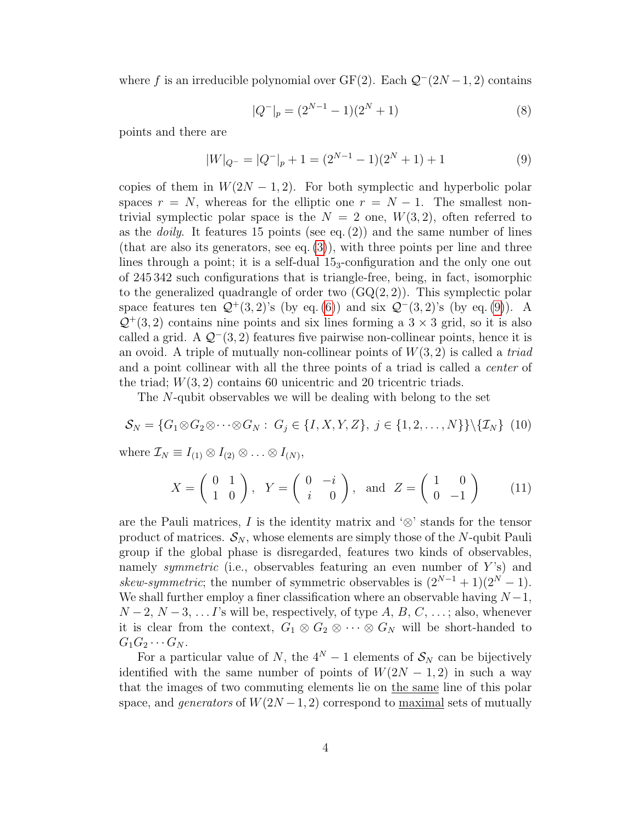where f is an irreducible polynomial over GF(2). Each  $\mathcal{Q}^-(2N-1, 2)$  contains

<span id="page-3-0"></span>
$$
|Q^{-}|_{p} = (2^{N-1} - 1)(2^{N} + 1)
$$
\n(8)

points and there are

$$
|W|_{Q^-} = |Q^-|_p + 1 = (2^{N-1} - 1)(2^N + 1) + 1 \tag{9}
$$

copies of them in  $W(2N-1, 2)$ . For both symplectic and hyperbolic polar spaces  $r = N$ , whereas for the elliptic one  $r = N - 1$ . The smallest nontrivial symplectic polar space is the  $N = 2$  one,  $W(3, 2)$ , often referred to as the *doily*. It features 15 points (see eq.  $(2)$ ) and the same number of lines (that are also its generators, see eq.  $(3)$ ), with three points per line and three lines through a point; it is a self-dual  $15<sub>3</sub>$ -configuration and the only one out of 245 342 such configurations that is triangle-free, being, in fact, isomorphic to the generalized quadrangle of order two  $(GQ(2, 2))$ . This symplectic polar space features ten  $\mathcal{Q}^+(3,2)$ 's (by eq. [\(6\)](#page-2-1)) and six  $\mathcal{Q}^-(3,2)$ 's (by eq. [\(9\)](#page-3-0)). A  $\mathcal{Q}^+(3, 2)$  contains nine points and six lines forming a  $3 \times 3$  grid, so it is also called a grid. A  $Q^-(3, 2)$  features five pairwise non-collinear points, hence it is an ovoid. A triple of mutually non-collinear points of  $W(3, 2)$  is called a *triad* and a point collinear with all the three points of a triad is called a center of the triad;  $W(3, 2)$  contains 60 unicentric and 20 tricentric triads.

The N-qubit observables we will be dealing with belong to the set

$$
\mathcal{S}_N = \{G_1 \otimes G_2 \otimes \cdots \otimes G_N : G_j \in \{I, X, Y, Z\}, j \in \{1, 2, \ldots, N\} \} \setminus \{ \mathcal{I}_N \} \tag{10}
$$

where  $\mathcal{I}_N \equiv I_{(1)} \otimes I_{(2)} \otimes \ldots \otimes I_{(N)},$ 

<span id="page-3-1"></span>
$$
X = \begin{pmatrix} 0 & 1 \\ 1 & 0 \end{pmatrix}, Y = \begin{pmatrix} 0 & -i \\ i & 0 \end{pmatrix}, \text{ and } Z = \begin{pmatrix} 1 & 0 \\ 0 & -1 \end{pmatrix}
$$
 (11)

are the Pauli matrices, I is the identity matrix and ' $\otimes$ ' stands for the tensor product of matrices.  $S_N$ , whose elements are simply those of the N-qubit Pauli group if the global phase is disregarded, features two kinds of observables, namely symmetric (i.e., observables featuring an even number of  $Y$ 's) and skew-symmetric; the number of symmetric observables is  $(2^{N-1} + 1)(2^{N} - 1)$ . We shall further employ a finer classification where an observable having  $N-1$ ,  $N-2$ ,  $N-3$ , ... I's will be, respectively, of type A, B, C, ...; also, whenever it is clear from the context,  $G_1 \otimes G_2 \otimes \cdots \otimes G_N$  will be short-handed to  $G_1G_2\cdots G_N$ .

For a particular value of N, the  $4^N - 1$  elements of  $S_N$  can be bijectively identified with the same number of points of  $W(2N-1, 2)$  in such a way that the images of two commuting elements lie on the same line of this polar space, and generators of  $W(2N-1, 2)$  correspond to maximal sets of mutually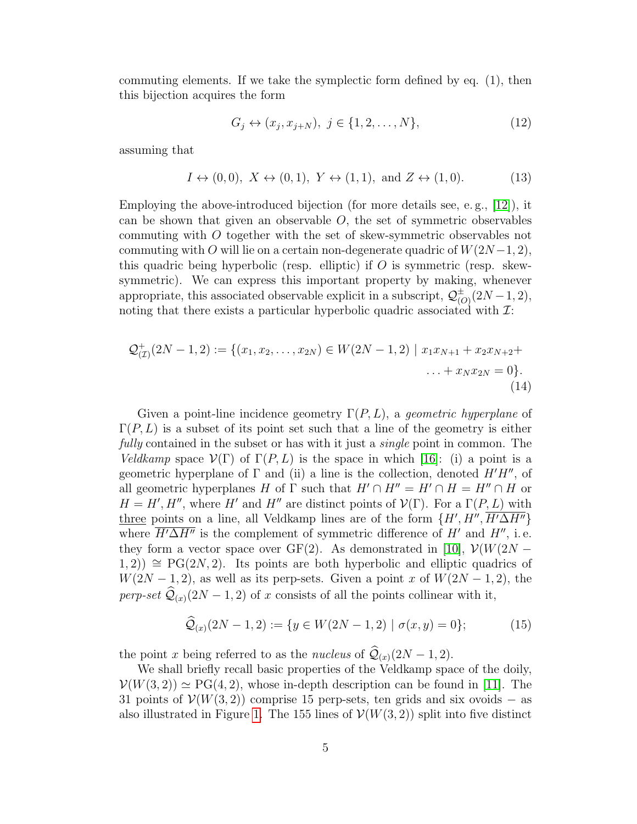commuting elements. If we take the symplectic form defined by eq. (1), then this bijection acquires the form

<span id="page-4-0"></span>
$$
G_j \leftrightarrow (x_j, x_{j+N}), \ j \in \{1, 2, \dots, N\},\tag{12}
$$

assuming that

<span id="page-4-1"></span>
$$
I \leftrightarrow (0,0), \ X \leftrightarrow (0,1), \ Y \leftrightarrow (1,1), \text{ and } Z \leftrightarrow (1,0). \tag{13}
$$

Employing the above-introduced bijection (for more details see, e. g., [\[12\]](#page-22-11)), it can be shown that given an observable  $O$ , the set of symmetric observables commuting with O together with the set of skew-symmetric observables not commuting with O will lie on a certain non-degenerate quadric of  $W(2N-1, 2)$ , this quadric being hyperbolic (resp. elliptic) if  $O$  is symmetric (resp. skewsymmetric). We can express this important property by making, whenever appropriate, this associated observable explicit in a subscript,  $\mathcal{Q}_{\alpha}^{\pm}$  $_{(O)}^{\pm}(2N-1,2),$ noting that there exists a particular hyperbolic quadric associated with  $\mathcal{I}:$ 

<span id="page-4-2"></span>
$$
\mathcal{Q}^+_{(\mathcal{I})}(2N-1,2) := \{ (x_1, x_2, \dots, x_{2N}) \in W(2N-1,2) \mid x_1 x_{N+1} + x_2 x_{N+2} + \dots + x_N x_{2N} = 0 \}.
$$
\n(14)

Given a point-line incidence geometry  $\Gamma(P, L)$ , a *geometric hyperplane* of  $\Gamma(P, L)$  is a subset of its point set such that a line of the geometry is either fully contained in the subset or has with it just a *single* point in common. The Veldkamp space  $V(\Gamma)$  of  $\Gamma(P, L)$  is the space in which [\[16\]](#page-23-0): (i) a point is a geometric hyperplane of  $\Gamma$  and (ii) a line is the collection, denoted  $H'H''$ , of all geometric hyperplanes H of  $\Gamma$  such that  $H' \cap H'' = H' \cap H = H'' \cap H$  or  $H = H', H''$ , where H' and H'' are distinct points of  $\mathcal{V}(\Gamma)$ . For a  $\Gamma(P, L)$  with three points on a line, all Veldkamp lines are of the form  $\{H', H'', \overline{H'\Delta H''}\}$ where  $\overline{H^{\prime} \Delta H^{\prime\prime}}$  is the complement of symmetric difference of  $H^{\prime}$  and  $H^{\prime\prime}$ , i.e. they form a vector space over GF(2). As demonstrated in [\[10\]](#page-22-9),  $\mathcal{V}(W(2N (1, 2)$ ) ≅ PG(2N, 2). Its points are both hyperbolic and elliptic quadrics of  $W(2N-1, 2)$ , as well as its perp-sets. Given a point x of  $W(2N-1, 2)$ , the perp-set  $\widehat{Q}_{(x)}(2N-1, 2)$  of x consists of all the points collinear with it,

$$
\widehat{\mathcal{Q}}_{(x)}(2N-1,2) := \{ y \in W(2N-1,2) \mid \sigma(x,y) = 0 \};\tag{15}
$$

the point x being referred to as the *nucleus* of  $\mathcal{Q}_{(x)}(2N - 1, 2)$ .

We shall briefly recall basic properties of the Veldkamp space of the doily,  $\mathcal{V}(W(3, 2)) \simeq \text{PG}(4, 2)$ , whose in-depth description can be found in [\[11\]](#page-22-10). The 31 points of  $\mathcal{V}(W(3, 2))$  comprise 15 perp-sets, ten grids and six ovoids – as also illustrated in Figure [1.](#page-5-0) The 155 lines of  $\mathcal{V}(W(3, 2))$  split into five distinct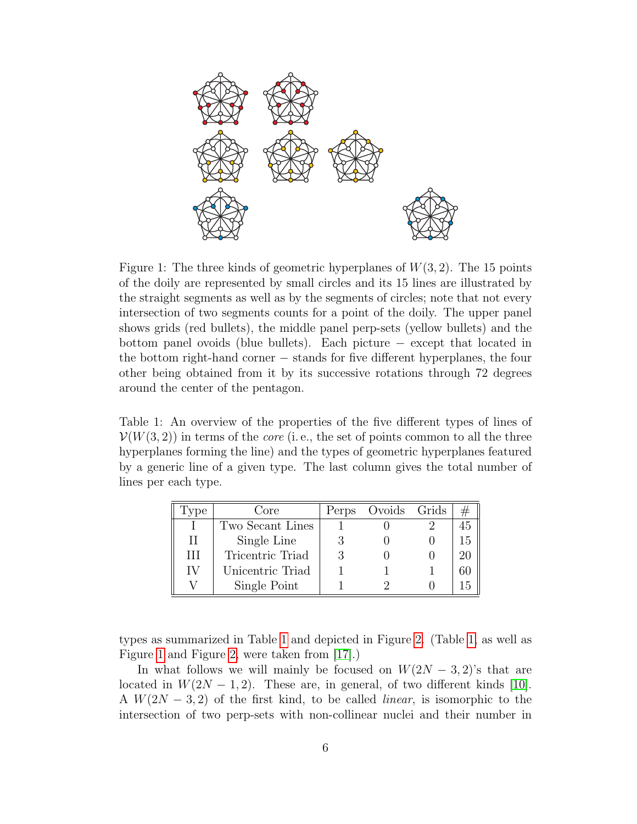

<span id="page-5-0"></span>Figure 1: The three kinds of geometric hyperplanes of  $W(3, 2)$ . The 15 points of the doily are represented by small circles and its 15 lines are illustrated by the straight segments as well as by the segments of circles; note that not every intersection of two segments counts for a point of the doily. The upper panel shows grids (red bullets), the middle panel perp-sets (yellow bullets) and the bottom panel ovoids (blue bullets). Each picture − except that located in the bottom right-hand corner − stands for five different hyperplanes, the four other being obtained from it by its successive rotations through 72 degrees around the center of the pentagon.

<span id="page-5-1"></span>Table 1: An overview of the properties of the five different types of lines of  $\mathcal{V}(W(3, 2))$  in terms of the *core* (i.e., the set of points common to all the three hyperplanes forming the line) and the types of geometric hyperplanes featured by a generic line of a given type. The last column gives the total number of lines per each type.

| . vpe | Core             | Perps | Ovoids Grids |    |
|-------|------------------|-------|--------------|----|
|       | Two Secant Lines |       |              |    |
| Н     | Single Line      |       |              | 15 |
| Ш     | Tricentric Triad |       |              |    |
| IV    | Unicentric Triad |       |              |    |
|       | Single Point     |       |              |    |

types as summarized in Table [1](#page-5-1) and depicted in Figure [2.](#page-6-0) (Table [1,](#page-5-1) as well as Figure [1](#page-5-0) and Figure [2,](#page-6-0) were taken from [\[17\]](#page-23-1).)

In what follows we will mainly be focused on  $W(2N-3, 2)$ 's that are located in  $W(2N-1, 2)$ . These are, in general, of two different kinds [\[10\]](#page-22-9). A  $W(2N-3, 2)$  of the first kind, to be called *linear*, is isomorphic to the intersection of two perp-sets with non-collinear nuclei and their number in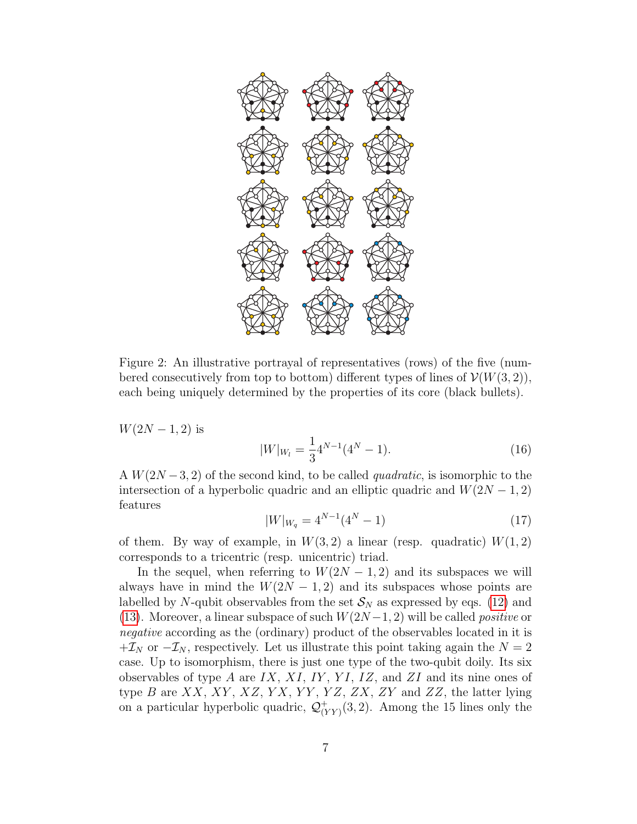

<span id="page-6-0"></span>Figure 2: An illustrative portrayal of representatives (rows) of the five (numbered consecutively from top to bottom) different types of lines of  $\mathcal{V}(W(3, 2)),$ each being uniquely determined by the properties of its core (black bullets).

 $W(2N-1, 2)$  is

<span id="page-6-1"></span>
$$
|W|_{W_l} = \frac{1}{3} 4^{N-1} (4^N - 1).
$$
 (16)

<span id="page-6-2"></span>A  $W(2N-3, 2)$  of the second kind, to be called *quadratic*, is isomorphic to the intersection of a hyperbolic quadric and an elliptic quadric and  $W(2N-1, 2)$ features

$$
|W|_{W_q} = 4^{N-1}(4^N - 1)
$$
\n(17)

of them. By way of example, in  $W(3, 2)$  a linear (resp. quadratic)  $W(1, 2)$ corresponds to a tricentric (resp. unicentric) triad.

In the sequel, when referring to  $W(2N-1, 2)$  and its subspaces we will always have in mind the  $W(2N-1, 2)$  and its subspaces whose points are labelled by N-qubit observables from the set  $\mathcal{S}_N$  as expressed by eqs. [\(12\)](#page-4-0) and [\(13\)](#page-4-1). Moreover, a linear subspace of such  $W(2N-1, 2)$  will be called *positive* or negative according as the (ordinary) product of the observables located in it is  $+I_N$  or  $-I_N$ , respectively. Let us illustrate this point taking again the  $N=2$ case. Up to isomorphism, there is just one type of the two-qubit doily. Its six observables of type A are IX,  $XI$ , IY, YI, IZ, and ZI and its nine ones of type  $B$  are  $XX, XY, XZ, YX, YY, YZ, ZX, ZY$  and  $ZZ$ , the latter lying on a particular hyperbolic quadric,  $\mathcal{Q}_{\alpha}^{+}$  $(\overline{Y}_Y)(3,2)$ . Among the 15 lines only the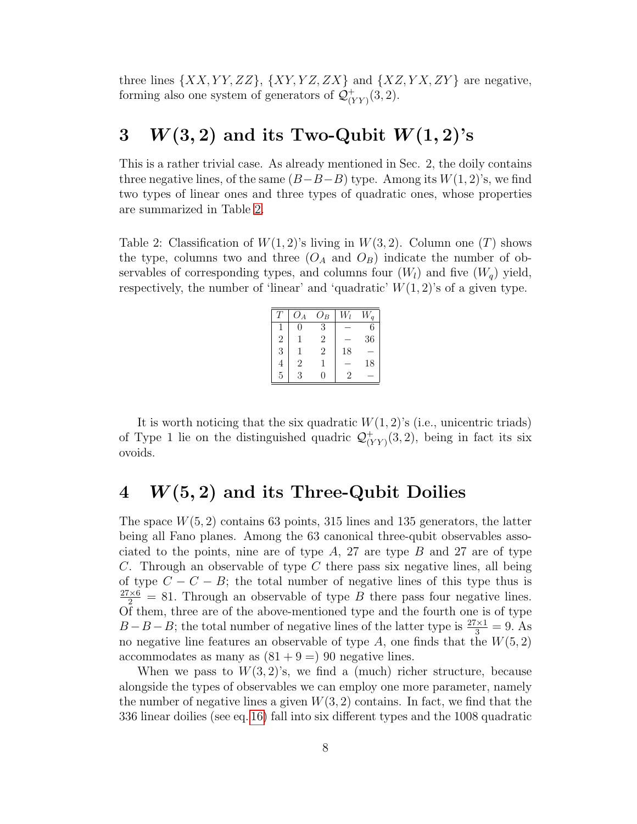three lines  $\{XX,YY,ZZ\}$ ,  $\{XY,YZ,ZX\}$  and  $\{XZ,YX,ZY\}$  are negative, forming also one system of generators of  $\mathcal{Q}_{\alpha}^{+}$  $V(YY)(3,2).$ 

### 3  $W(3, 2)$  and its Two-Qubit  $W(1, 2)$ 's

This is a rather trivial case. As already mentioned in Sec. 2, the doily contains three negative lines, of the same  $(B-B-B)$  type. Among its  $W(1, 2)$ 's, we find two types of linear ones and three types of quadratic ones, whose properties are summarized in Table [2.](#page-7-0)

<span id="page-7-0"></span>Table 2: Classification of  $W(1, 2)$ 's living in  $W(3, 2)$ . Column one (T) shows the type, columns two and three  $(O_A \text{ and } O_B)$  indicate the number of observables of corresponding types, and columns four  $(W_l)$  and five  $(W_q)$  yield, respectively, the number of 'linear' and 'quadratic'  $W(1, 2)$ 's of a given type.

|                | $O_A$          | $O_B$ |    |    |
|----------------|----------------|-------|----|----|
|                | $\mathcal{O}$  | 3     |    | 6  |
| $\overline{2}$ | ı              | 2     |    | 36 |
| 3              | 1              | 2     | 18 |    |
|                | $\overline{2}$ |       |    | 18 |
| $\overline{5}$ | 3              | 0     | 2  |    |

It is worth noticing that the six quadratic  $W(1, 2)$ 's (i.e., unicentric triads) of Type 1 lie on the distinguished quadric  $\mathcal{Q}_{\alpha}^{+}$  $V(Y(Y)(3,2)$ , being in fact its six ovoids.

# $4$   $W(5, 2)$  and its Three-Qubit Doilies

The space  $W(5, 2)$  contains 63 points, 315 lines and 135 generators, the latter being all Fano planes. Among the 63 canonical three-qubit observables associated to the points, nine are of type  $A$ , 27 are type  $B$  and 27 are of type C. Through an observable of type C there pass six negative lines, all being of type  $C - C - B$ ; the total number of negative lines of this type thus is  $\frac{27\times6}{2}$  = 81. Through an observable of type B there pass four negative lines. Of them, three are of the above-mentioned type and the fourth one is of type  $B - B - B$ ; the total number of negative lines of the latter type is  $\frac{27 \times 1}{3} = 9$ . As no negative line features an observable of type  $A$ , one finds that the  $W(5, 2)$ accommodates as many as  $(81 + 9 = 90$  negative lines.

When we pass to  $W(3, 2)$ 's, we find a (much) richer structure, because alongside the types of observables we can employ one more parameter, namely the number of negative lines a given  $W(3, 2)$  contains. In fact, we find that the 336 linear doilies (see eq. [16\)](#page-6-1) fall into six different types and the 1008 quadratic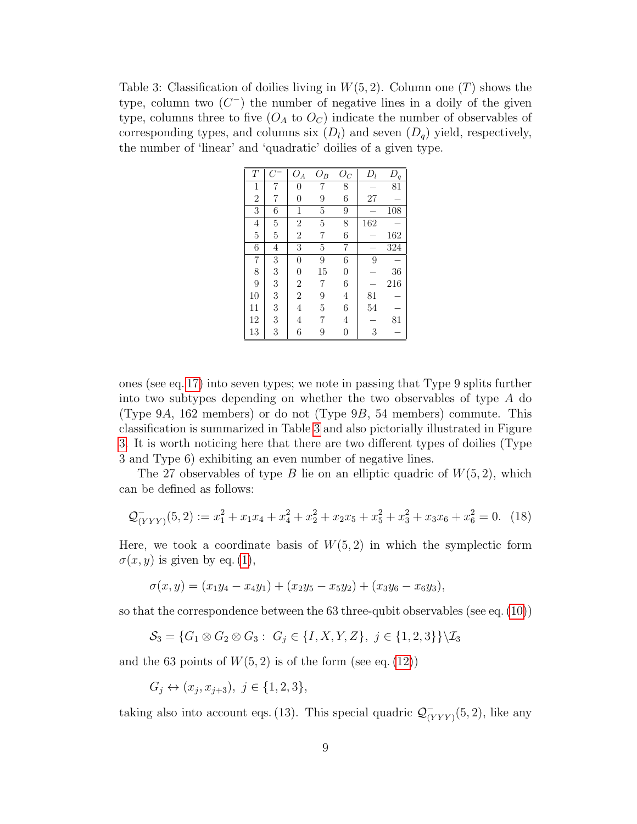<span id="page-8-0"></span>Table 3: Classification of doilies living in  $W(5, 2)$ . Column one  $(T)$  shows the type, column two  $(C^-)$  the number of negative lines in a doily of the given type, columns three to five  $(O_A \text{ to } O_C)$  indicate the number of observables of corresponding types, and columns six  $(D_l)$  and seven  $(D_q)$  yield, respectively, the number of 'linear' and 'quadratic' doilies of a given type.

| Т              | $C^{\cdot}$    | $O_A$          | $O_B$          | $O_C$          | $D_l$ | $D_q$ |
|----------------|----------------|----------------|----------------|----------------|-------|-------|
| $\mathbf{1}$   | 7              | 0              |                | 8              |       | 81    |
| $\overline{2}$ | 7              | 0              | 9              | 6              | 27    |       |
| 3              | 6              | 1              | $\overline{5}$ | 9              |       | 108   |
| $\overline{4}$ | $\overline{5}$ | $\overline{2}$ | $\overline{5}$ | 8              | 162   |       |
| $\overline{5}$ | $\overline{5}$ | $\overline{2}$ | 7              | 6              |       | 162   |
| 6              | $\overline{4}$ | 3              | $\overline{5}$ | 7              |       | 324   |
| $\overline{7}$ | 3              | 0              | 9              | 6              | 9     |       |
| 8              | 3              | 0              | 15             | $\overline{0}$ |       | 36    |
| $\overline{9}$ | 3              | $\overline{2}$ | 7              | 6              |       | 216   |
| 10             | 3              | $\overline{2}$ | 9              | $\overline{4}$ | 81    |       |
| 11             | 3              | 4              | $\overline{5}$ | 6              | 54    |       |
| 12             | 3              | 4              | 7              | $\overline{4}$ |       | 81    |
| 13             | 3              | 6              | 9              | $\overline{0}$ | 3     |       |

ones (see eq. [17\)](#page-6-2) into seven types; we note in passing that Type 9 splits further into two subtypes depending on whether the two observables of type A do (Type 9A, 162 members) or do not (Type  $9B$ , 54 members) commute. This classification is summarized in Table [3](#page-8-0) and also pictorially illustrated in Figure [3.](#page-9-0) It is worth noticing here that there are two different types of doilies (Type 3 and Type 6) exhibiting an even number of negative lines.

The 27 observables of type B lie on an elliptic quadric of  $W(5, 2)$ , which can be defined as follows:

$$
\mathcal{Q}^-_{(YYY)}(5,2) := x_1^2 + x_1 x_4 + x_4^2 + x_2^2 + x_2 x_5 + x_5^2 + x_3^2 + x_3 x_6 + x_6^2 = 0. \tag{18}
$$

Here, we took a coordinate basis of  $W(5, 2)$  in which the symplectic form  $\sigma(x, y)$  is given by eq. [\(1\)](#page-2-2),

$$
\sigma(x,y) = (x_1y_4 - x_4y_1) + (x_2y_5 - x_5y_2) + (x_3y_6 - x_6y_3),
$$

so that the correspondence between the 63 three-qubit observables (see eq. [\(10\)](#page-3-1))

$$
\mathcal{S}_3 = \{G_1 \otimes G_2 \otimes G_3 : G_j \in \{I, X, Y, Z\}, j \in \{1, 2, 3\}\} \setminus \mathcal{I}_3
$$

and the 63 points of  $W(5, 2)$  is of the form (see eq. [\(12\)](#page-4-0))

$$
G_j \leftrightarrow (x_j, x_{j+3}), \ j \in \{1, 2, 3\},\
$$

taking also into account eqs. (13). This special quadric  $\mathcal{Q}_{\alpha}^ \frac{(-1)}{(YYY)}$ (5, 2), like any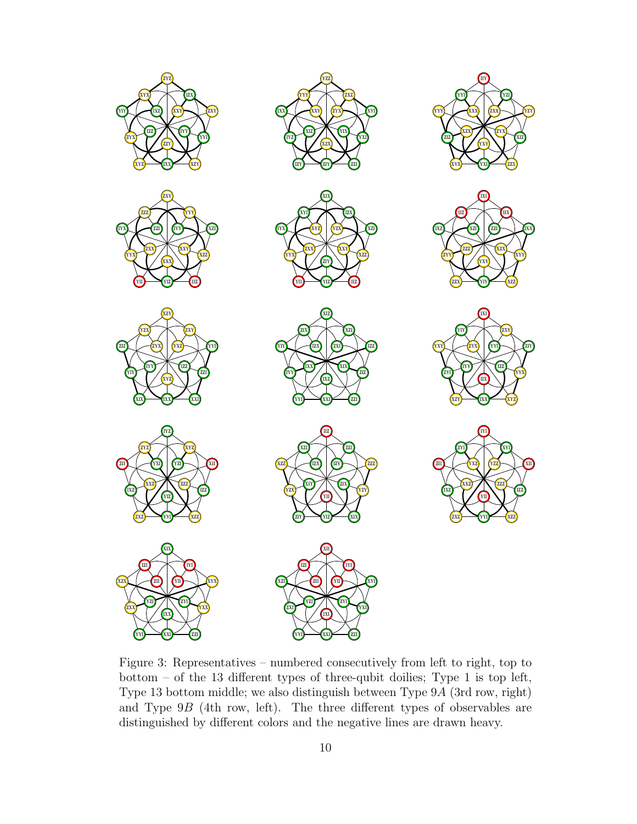

<span id="page-9-0"></span>Figure 3: Representatives – numbered consecutively from left to right, top to bottom – of the 13 different types of three-qubit doilies; Type 1 is top left, Type 13 bottom middle; we also distinguish between Type 9A (3rd row, right) and Type 9B (4th row, left). The three different types of observables are distinguished by different colors and the negative lines are drawn heavy.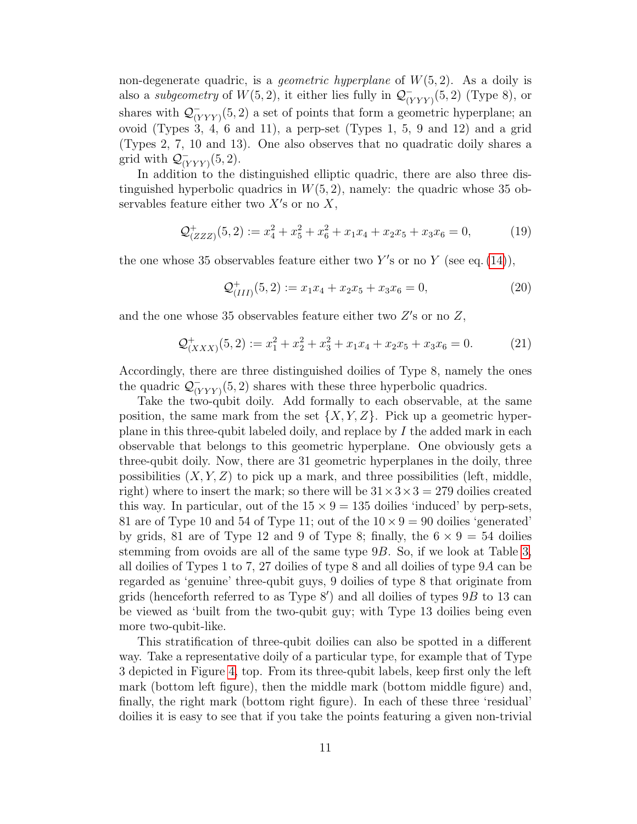non-degenerate quadric, is a *geometric hyperplane* of  $W(5, 2)$ . As a doily is also a *subgeometry* of  $W(5, 2)$ , it either lies fully in  $\mathcal{Q}_{\alpha}^{-}$  $\frac{(-1)}{(YYY)}$  (5, 2) (Type 8), or shares with  $\mathcal{Q}_{\alpha}^{-}$  $\frac{(-}{(YYY)}(5,2)$  a set of points that form a geometric hyperplane; an ovoid (Types 3, 4, 6 and 11), a perp-set (Types 1, 5, 9 and 12) and a grid (Types 2, 7, 10 and 13). One also observes that no quadratic doily shares a grid with  $\mathcal{Q}_{\alpha}^ \frac{(-1)}{(YYY)}(5,2).$ 

In addition to the distinguished elliptic quadric, there are also three distinguished hyperbolic quadrics in  $W(5, 2)$ , namely: the quadric whose 35 observables feature either two  $X'$ s or no  $X$ ,

$$
\mathcal{Q}^+_{(ZZZ)}(5,2) := x_4^2 + x_5^2 + x_6^2 + x_1x_4 + x_2x_5 + x_3x_6 = 0,\tag{19}
$$

the one whose 35 observables feature either two Y's or no Y (see eq.  $(14)$ ),

<span id="page-10-0"></span>
$$
\mathcal{Q}^+_{(III)}(5,2) := x_1 x_4 + x_2 x_5 + x_3 x_6 = 0,\tag{20}
$$

and the one whose 35 observables feature either two  $Z$ 's or no  $Z$ ,

$$
\mathcal{Q}^+_{(XXX)}(5,2) := x_1^2 + x_2^2 + x_3^2 + x_1 x_4 + x_2 x_5 + x_3 x_6 = 0.
$$
 (21)

Accordingly, there are three distinguished doilies of Type 8, namely the ones the quadric  $\mathcal{Q}_{\alpha}^ \frac{(-}{(YYY)}(5,2)$  shares with these three hyperbolic quadrics.

Take the two-qubit doily. Add formally to each observable, at the same position, the same mark from the set  $\{X, Y, Z\}$ . Pick up a geometric hyperplane in this three-qubit labeled doily, and replace by  $I$  the added mark in each observable that belongs to this geometric hyperplane. One obviously gets a three-qubit doily. Now, there are 31 geometric hyperplanes in the doily, three possibilities  $(X, Y, Z)$  to pick up a mark, and three possibilities (left, middle, right) where to insert the mark; so there will be  $31 \times 3 \times 3 = 279$  doilies created this way. In particular, out of the  $15 \times 9 = 135$  doilies 'induced' by perp-sets, 81 are of Type 10 and 54 of Type 11; out of the  $10 \times 9 = 90$  doilies 'generated' by grids, 81 are of Type 12 and 9 of Type 8; finally, the  $6 \times 9 = 54$  doilies stemming from ovoids are all of the same type 9B. So, if we look at Table [3,](#page-8-0) all doilies of Types 1 to 7, 27 doilies of type 8 and all doilies of type 9A can be regarded as 'genuine' three-qubit guys, 9 doilies of type 8 that originate from grids (henceforth referred to as Type  $8'$ ) and all doilies of types  $9B$  to 13 can be viewed as 'built from the two-qubit guy; with Type 13 doilies being even more two-qubit-like.

This stratification of three-qubit doilies can also be spotted in a different way. Take a representative doily of a particular type, for example that of Type 3 depicted in Figure [4,](#page-11-0) top. From its three-qubit labels, keep first only the left mark (bottom left figure), then the middle mark (bottom middle figure) and, finally, the right mark (bottom right figure). In each of these three 'residual' doilies it is easy to see that if you take the points featuring a given non-trivial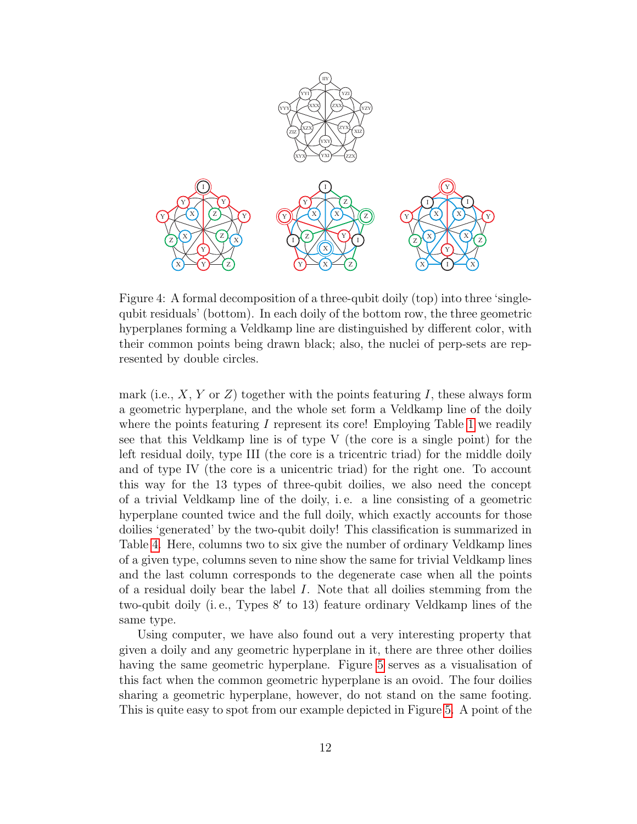

<span id="page-11-0"></span>Figure 4: A formal decomposition of a three-qubit doily (top) into three 'singlequbit residuals' (bottom). In each doily of the bottom row, the three geometric hyperplanes forming a Veldkamp line are distinguished by different color, with their common points being drawn black; also, the nuclei of perp-sets are represented by double circles.

mark (i.e.,  $X, Y$  or  $Z$ ) together with the points featuring I, these always form a geometric hyperplane, and the whole set form a Veldkamp line of the doily where the points featuring I represent its core! Employing Table [1](#page-5-1) we readily see that this Veldkamp line is of type V (the core is a single point) for the left residual doily, type III (the core is a tricentric triad) for the middle doily and of type IV (the core is a unicentric triad) for the right one. To account this way for the 13 types of three-qubit doilies, we also need the concept of a trivial Veldkamp line of the doily, i. e. a line consisting of a geometric hyperplane counted twice and the full doily, which exactly accounts for those doilies 'generated' by the two-qubit doily! This classification is summarized in Table [4.](#page-12-0) Here, columns two to six give the number of ordinary Veldkamp lines of a given type, columns seven to nine show the same for trivial Veldkamp lines and the last column corresponds to the degenerate case when all the points of a residual doily bear the label I. Note that all doilies stemming from the two-qubit doily (i.e., Types 8' to 13) feature ordinary Veldkamp lines of the same type.

Using computer, we have also found out a very interesting property that given a doily and any geometric hyperplane in it, there are three other doilies having the same geometric hyperplane. Figure [5](#page-13-0) serves as a visualisation of this fact when the common geometric hyperplane is an ovoid. The four doilies sharing a geometric hyperplane, however, do not stand on the same footing. This is quite easy to spot from our example depicted in Figure [5.](#page-13-0) A point of the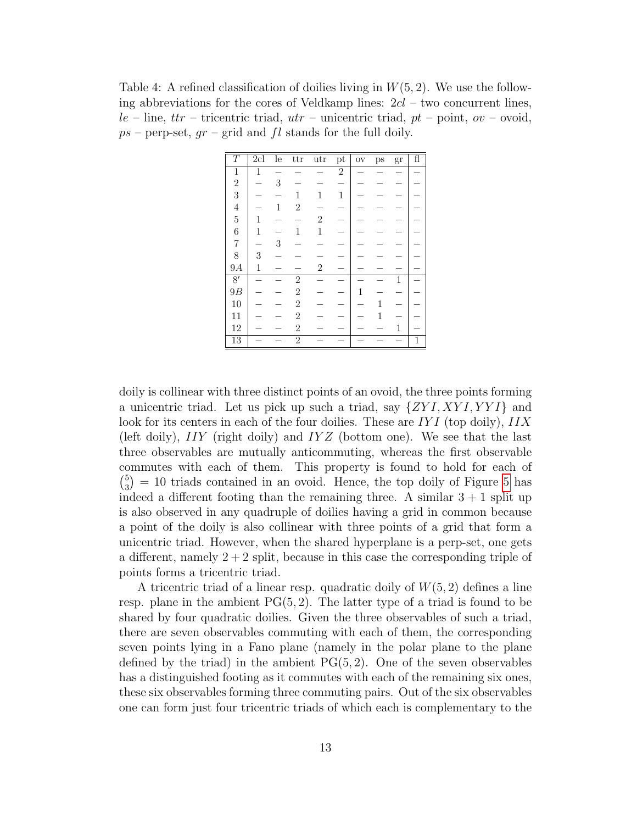<span id="page-12-0"></span>Table 4: A refined classification of doilies living in  $W(5, 2)$ . We use the following abbreviations for the cores of Veldkamp lines:  $2cl$  – two concurrent lines,  $le$  – line, ttr – tricentric triad,  $utr$  – unicentric triad,  $pt$  – point,  $ov$  – ovoid,  $ps$  – perp-set,  $gr$  – grid and fl stands for the full doily.

| $\overline{T}$   | $\overline{2cl}$ | $\bar{1}$ e  | ttr            | $_{\rm utr}$     | $\operatorname{pt}$ | $_{\rm OV}$ | ps | gr | $\overline{f}$ |
|------------------|------------------|--------------|----------------|------------------|---------------------|-------------|----|----|----------------|
| $\,1$            | $\mathbf{1}$     |              |                |                  | $\overline{2}$      |             |    |    |                |
| $\frac{2}{3}$    |                  | 3            |                |                  |                     |             |    |    |                |
|                  |                  |              | 1              | 1                | $\mathbf{1}$        |             |    |    |                |
| $\overline{4}$   |                  | $\mathbf{1}$ | $\mathbf{2}$   |                  |                     |             |    |    |                |
| $\overline{5}$   | 1                |              |                | $\boldsymbol{2}$ |                     |             |    |    |                |
| $\boldsymbol{6}$ | 1                |              | 1              | 1                |                     |             |    |    |                |
| $\overline{7}$   |                  | 3            |                |                  |                     |             |    |    |                |
| 8                | 3                |              |                |                  |                     |             |    |    |                |
| 9A               | 1                |              |                | $\boldsymbol{2}$ |                     |             |    |    |                |
| $\overline{8'}$  |                  |              | $\overline{2}$ |                  |                     |             |    | 1  |                |
| 9B               |                  |              | $\mathbf{2}$   |                  |                     | 1           |    |    |                |
| 10               |                  |              | $\sqrt{2}$     |                  |                     |             | 1  |    |                |
| 11               |                  |              | $\mathbf{2}$   |                  |                     |             | 1  |    |                |
| $12\,$           |                  |              | $\sqrt{2}$     |                  |                     |             |    | 1  |                |
| 13               |                  |              | $\overline{2}$ |                  |                     |             |    |    | $\mathbf 1$    |

doily is collinear with three distinct points of an ovoid, the three points forming a unicentric triad. Let us pick up such a triad, say  $\{ZYI, XYI, YYI\}$  and look for its centers in each of the four doilies. These are  $IYI$  (top doily),  $IIX$ (left doily),  $IIY$  (right doily) and  $IYZ$  (bottom one). We see that the last three observables are mutually anticommuting, whereas the first observable commutes with each of them. This property is found to hold for each of  $\binom{5}{2}$  $_3^5$  = 10 triads contained in an ovoid. Hence, the top doily of Figure [5](#page-13-0) has indeed a different footing than the remaining three. A similar  $3 + 1$  split up is also observed in any quadruple of doilies having a grid in common because a point of the doily is also collinear with three points of a grid that form a unicentric triad. However, when the shared hyperplane is a perp-set, one gets a different, namely  $2 + 2$  split, because in this case the corresponding triple of points forms a tricentric triad.

A tricentric triad of a linear resp. quadratic doily of  $W(5, 2)$  defines a line resp. plane in the ambient  $PG(5, 2)$ . The latter type of a triad is found to be shared by four quadratic doilies. Given the three observables of such a triad, there are seven observables commuting with each of them, the corresponding seven points lying in a Fano plane (namely in the polar plane to the plane defined by the triad) in the ambient  $PG(5, 2)$ . One of the seven observables has a distinguished footing as it commutes with each of the remaining six ones, these six observables forming three commuting pairs. Out of the six observables one can form just four tricentric triads of which each is complementary to the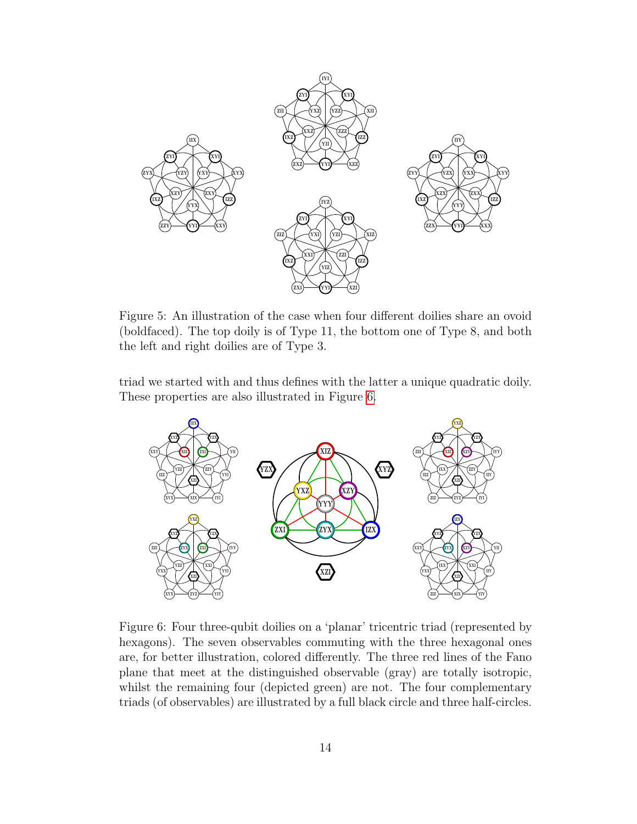

<span id="page-13-0"></span>Figure 5: An illustration of the case when four different doilies share an ovoid (boldfaced). The top doily is of Type 11, the bottom one of Type 8, and both the left and right doilies are of Type 3.

triad we started with and thus defines with the latter a unique quadratic doily. These properties are also illustrated in Figure [6.](#page-13-1)



<span id="page-13-1"></span>Figure 6: Four three-qubit doilies on a 'planar' tricentric triad (represented by hexagons). The seven observables commuting with the three hexagonal ones are, for better illustration, colored differently. The three red lines of the Fano plane that meet at the distinguished observable (gray) are totally isotropic, whilst the remaining four (depicted green) are not. The four complementary triads (of observables) are illustrated by a full black circle and three half-circles.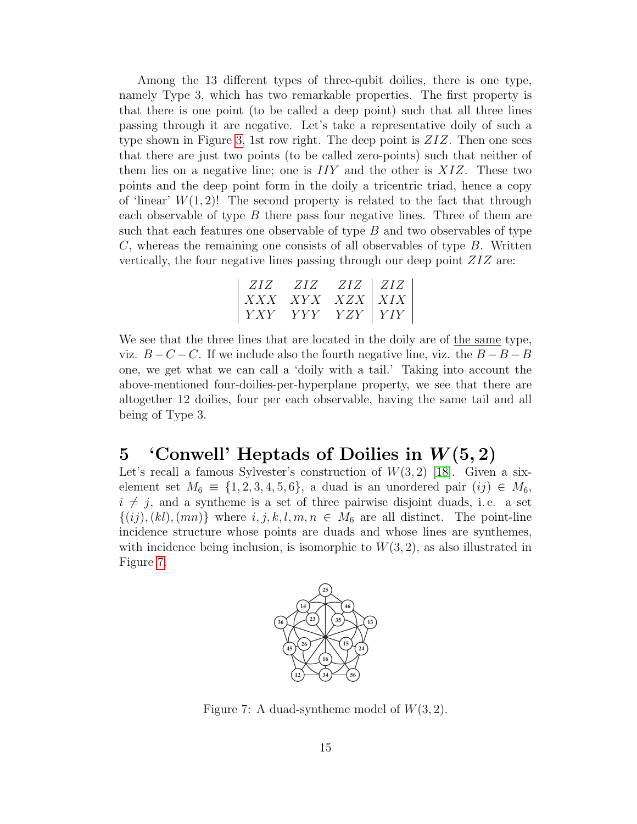Among the 13 different types of three-qubit doilies, there is one type, namely Type 3, which has two remarkable properties. The first property is that there is one point (to be called a deep point) such that all three lines passing through it are negative. Let's take a representative doily of such a type shown in Figure [3,](#page-9-0) 1st row right. The deep point is ZIZ. Then one sees that there are just two points (to be called zero-points) such that neither of them lies on a negative line; one is  $IIY$  and the other is  $XIZ$ . These two points and the deep point form in the doily a tricentric triad, hence a copy of 'linear'  $W(1, 2)!$  The second property is related to the fact that through each observable of type  $B$  there pass four negative lines. Three of them are such that each features one observable of type  $B$  and two observables of type  $C$ , whereas the remaining one consists of all observables of type  $B$ . Written vertically, the four negative lines passing through our deep point ZIZ are:

$$
\begin{array}{|c|c|c|c|c|c|} \hline ZIZ & ZIZ & ZIZ & ZIZ \\ XXX & XYX & XZX & XIX \\ YXY & YYY & YZY & YIY \\ \hline \end{array}\bigg|
$$

We see that the three lines that are located in the doily are of the same type, viz.  $B - C - C$ . If we include also the fourth negative line, viz. the  $B - B - B$ one, we get what we can call a 'doily with a tail.' Taking into account the above-mentioned four-doilies-per-hyperplane property, we see that there are altogether 12 doilies, four per each observable, having the same tail and all being of Type 3.

#### 5 'Conwell' Heptads of Doilies in  $W(5, 2)$

Let's recall a famous Sylvester's construction of  $W(3, 2)$  [\[18\]](#page-23-2). Given a sixelement set  $M_6 \equiv \{1, 2, 3, 4, 5, 6\}$ , a duad is an unordered pair  $(ij) \in M_6$ ,  $i \neq j$ , and a syntheme is a set of three pairwise disjoint duads, i.e. a set  $\{(ij),(kl),(mn)\}\$  where  $i, j, k, l, m, n \in M_6$  are all distinct. The point-line incidence structure whose points are duads and whose lines are synthemes, with incidence being inclusion, is isomorphic to  $W(3, 2)$ , as also illustrated in Figure [7.](#page-14-0)



<span id="page-14-0"></span>Figure 7: A duad-syntheme model of  $W(3, 2)$ .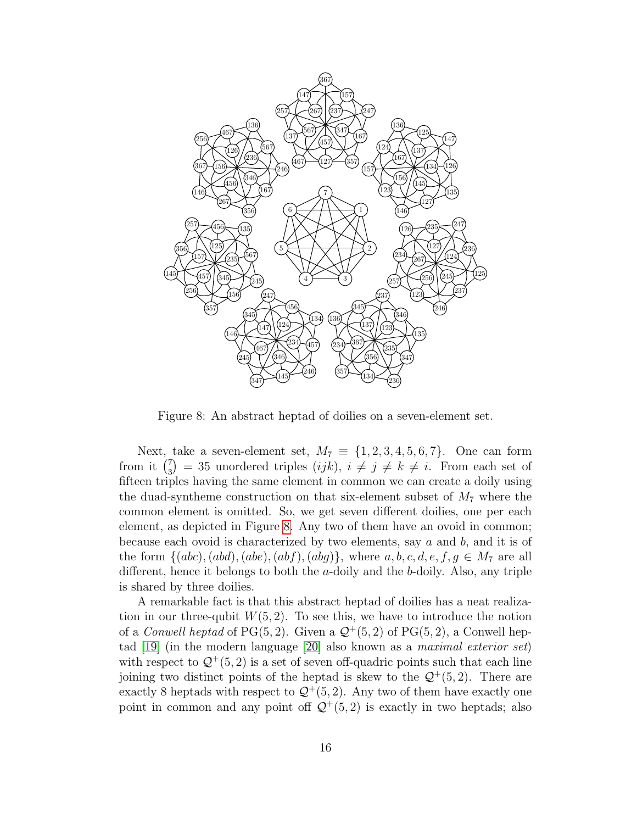

<span id="page-15-0"></span>Figure 8: An abstract heptad of doilies on a seven-element set.

Next, take a seven-element set,  $M_7 \equiv \{1, 2, 3, 4, 5, 6, 7\}$ . One can form from it  $\binom{7}{3}$  $\binom{7}{3}$  = 35 unordered triples  $(ijk)$ ,  $i \neq j \neq k \neq i$ . From each set of fifteen triples having the same element in common we can create a doily using the duad-syntheme construction on that six-element subset of  $M_7$  where the common element is omitted. So, we get seven different doilies, one per each element, as depicted in Figure [8.](#page-15-0) Any two of them have an ovoid in common; because each ovoid is characterized by two elements, say  $a$  and  $b$ , and it is of the form  $\{(abc), (abd), (abe), (abf), (abg)\}\$ , where  $a, b, c, d, e, f, g \in M<sub>7</sub>$  are all different, hence it belongs to both the a-doily and the b-doily. Also, any triple is shared by three doilies.

A remarkable fact is that this abstract heptad of doilies has a neat realization in our three-qubit  $W(5, 2)$ . To see this, we have to introduce the notion of a *Conwell heptad* of PG(5, 2). Given a  $\mathcal{Q}^+(5, 2)$  of PG(5, 2), a Conwell heptad [\[19\]](#page-23-3) (in the modern language [\[20\]](#page-23-4) also known as a maximal exterior set) with respect to  $\mathcal{Q}^+(5,2)$  is a set of seven off-quadric points such that each line joining two distinct points of the heptad is skew to the  $\mathcal{Q}^+(5,2)$ . There are exactly 8 heptads with respect to  $\mathcal{Q}^+(5,2)$ . Any two of them have exactly one point in common and any point off  $\mathcal{Q}^+(5,2)$  is exactly in two heptads; also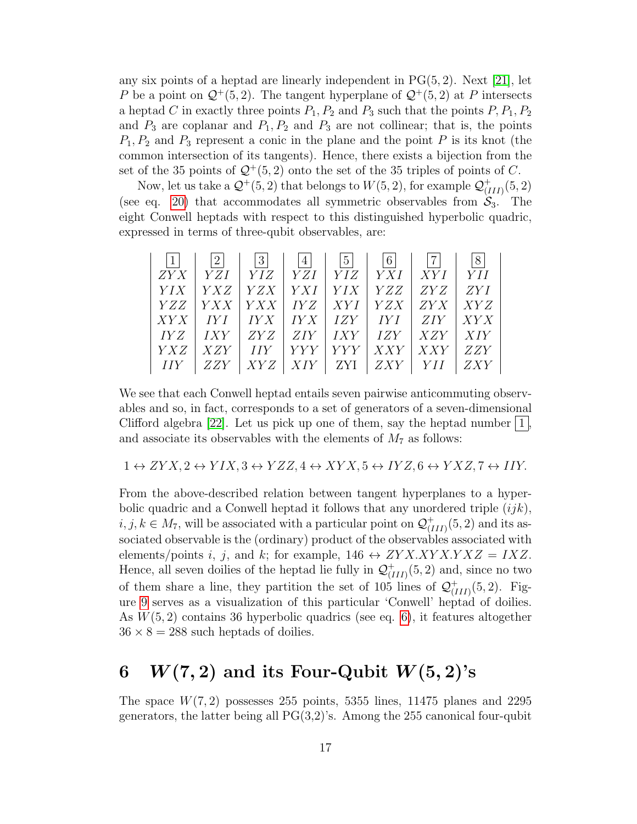any six points of a heptad are linearly independent in  $PG(5, 2)$ . Next [\[21\]](#page-23-5), let P be a point on  $\mathcal{Q}^+(5,2)$ . The tangent hyperplane of  $\mathcal{Q}^+(5,2)$  at P intersects a heptad C in exactly three points  $P_1$ ,  $P_2$  and  $P_3$  such that the points  $P_1$ ,  $P_2$ and  $P_3$  are coplanar and  $P_1, P_2$  and  $P_3$  are not collinear; that is, the points  $P_1, P_2$  and  $P_3$  represent a conic in the plane and the point P is its knot (the common intersection of its tangents). Hence, there exists a bijection from the set of the 35 points of  $\mathcal{Q}^+(5,2)$  onto the set of the 35 triples of points of C.

Now, let us take a  $\mathcal{Q}^+(5,2)$  that belongs to  $W(5,2)$ , for example  $\mathcal{Q}^+_{1}$  $^{+}_{(III)}(5,2)$ (see eq. [20\)](#page-10-0) that accommodates all symmetric observables from  $S_3$ . The eight Conwell heptads with respect to this distinguished hyperbolic quadric, expressed in terms of three-qubit observables, are:

| $\mathbf{1}$ | 2          | 3               |            | 5          | $\vert 6 \vert$                   | 7           | 8          |
|--------------|------------|-----------------|------------|------------|-----------------------------------|-------------|------------|
| ZYX          | $YZI$      | <i>YIZ</i>      | YZI        | YIZ        | YXI                               | XYI         | YH         |
| YIX          | YXZ        | $\mid YZX \mid$ | YXI        | <i>YIX</i> | YZZ                               | <i>ZY Z</i> | ZYI        |
| <i>YZZ</i>   | <i>YXX</i> | $YXX$   $IYZ$   |            | XYI        | $YZX$                             | ZYX         | XYZ        |
| XYX          | IYI        | IYX             |            |            | $\mid IYX \mid IZY \mid IYI \mid$ | <i>ZIY</i>  | XYX        |
| IY Z         | IXY        | ZYZ             | ZIY        |            | $IXY$   $IZY$                     | $XZY$       | XIY        |
| <i>YXZ</i>   | XZY        | $I\,I\,Y$       | <i>YYY</i> | <i>YYY</i> | XXY                               | XXY         | ZZY        |
| <i>HY</i>    |            | XYZ             | XIY        | ZYI        | $ZXY$                             |             | <i>ZXY</i> |

We see that each Conwell heptad entails seven pairwise anticommuting observables and so, in fact, corresponds to a set of generators of a seven-dimensional Clifford algebra [\[22\]](#page-23-6). Let us pick up one of them, say the heptad number  $|1|$ , and associate its observables with the elements of  $M_7$  as follows:

 $1 \leftrightarrow ZYX, 2 \leftrightarrow YIX, 3 \leftrightarrow YZZ, 4 \leftrightarrow XYX, 5 \leftrightarrow IYZ, 6 \leftrightarrow YXZ, 7 \leftrightarrow IIY.$ 

From the above-described relation between tangent hyperplanes to a hyperbolic quadric and a Conwell heptad it follows that any unordered triple  $(ijk)$ ,  $i, j, k \in M_7$ , will be associated with a particular point on  $\mathcal{Q}^+_{ij}$  $_{(III)}^+(5,2)$  and its associated observable is the (ordinary) product of the observables associated with elements/points i, j, and k; for example,  $146 \leftrightarrow ZYXXYXXYXZ = IXZ$ . Hence, all seven doilies of the heptad lie fully in  $\mathcal{Q}^+_{\iota}$  $^{+}_{(III)}(5,2)$  and, since no two of them share a line, they partition the set of 105 lines of  $\mathcal{Q}^+_{\iota}$  $_{(III)}^+(5,2)$ . Figure [9](#page-17-0) serves as a visualization of this particular 'Conwell' heptad of doilies. As  $W(5, 2)$  contains 36 hyperbolic quadrics (see eq. [6\)](#page-2-1), it features altogether  $36 \times 8 = 288$  such heptads of doilies.

## 6  $W(7,2)$  and its Four-Qubit  $W(5,2)$ 's

The space  $W(7, 2)$  possesses 255 points, 5355 lines, 11475 planes and 2295 generators, the latter being all  $PG(3,2)$ 's. Among the 255 canonical four-qubit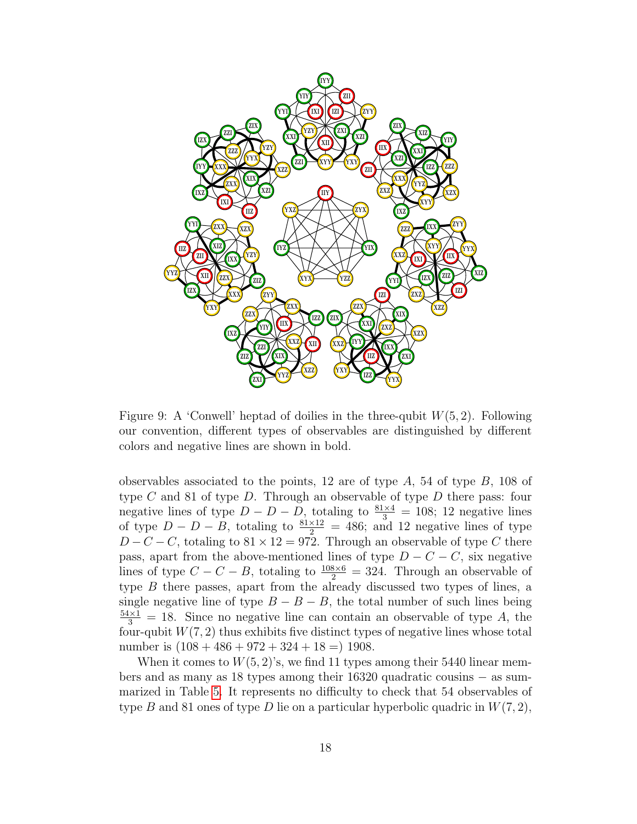

<span id="page-17-0"></span>Figure 9: A 'Conwell' heptad of doilies in the three-qubit  $W(5, 2)$ . Following our convention, different types of observables are distinguished by different colors and negative lines are shown in bold.

observables associated to the points, 12 are of type  $A$ , 54 of type  $B$ , 108 of type  $C$  and 81 of type  $D$ . Through an observable of type  $D$  there pass: four negative lines of type  $D - D - D$ , totaling to  $\frac{81\times4}{3} = 108$ ; 12 negative lines of type  $D - D - B$ , totaling to  $\frac{81 \times 12}{2} = 486$ ; and 12 negative lines of type  $D - C - C$ , totaling to  $81 \times 12 = 972$ . Through an observable of type C there pass, apart from the above-mentioned lines of type  $D - C - C$ , six negative lines of type  $C - C - B$ , totaling to  $\frac{108 \times 6}{2} = 324$ . Through an observable of type B there passes, apart from the already discussed two types of lines, a single negative line of type  $B - B - B$ , the total number of such lines being  $\frac{54\times1}{3}$  = 18. Since no negative line can contain an observable of type A, the four-qubit  $W(7, 2)$  thus exhibits five distinct types of negative lines whose total number is  $(108 + 486 + 972 + 324 + 18 = 1908$ .

When it comes to  $W(5, 2)$ 's, we find 11 types among their 5440 linear members and as many as 18 types among their 16320 quadratic cousins − as summarized in Table [5.](#page-18-0) It represents no difficulty to check that 54 observables of type B and 81 ones of type D lie on a particular hyperbolic quadric in  $W(7, 2)$ ,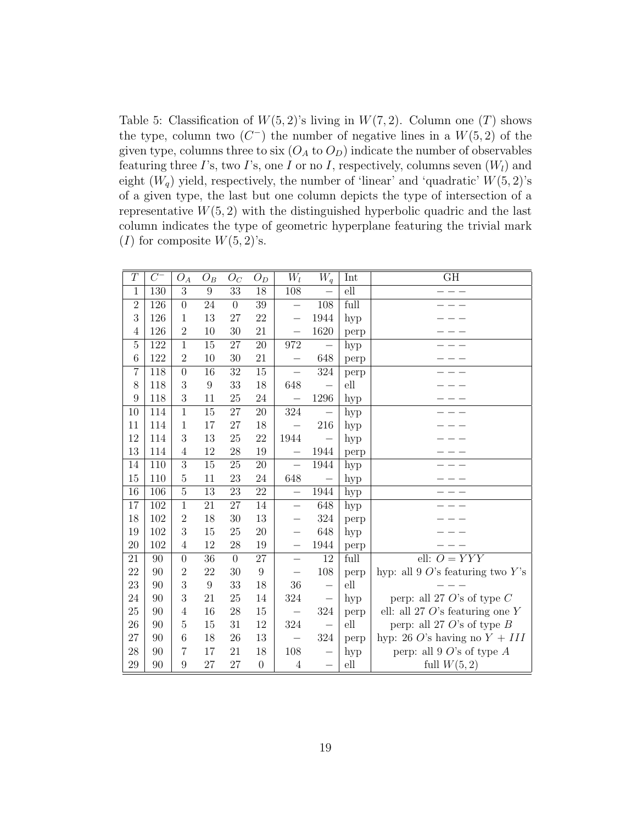<span id="page-18-0"></span>Table 5: Classification of  $W(5, 2)$ 's living in  $W(7, 2)$ . Column one (T) shows the type, column two  $(C^-)$  the number of negative lines in a  $W(5, 2)$  of the given type, columns three to six  $(O_A \text{ to } O_D)$  indicate the number of observables featuring three I's, two I's, one I or no I, respectively, columns seven  $(W_l)$  and eight  $(W_q)$  yield, respectively, the number of 'linear' and 'quadratic'  $W(5, 2)$ 's of a given type, the last but one column depicts the type of intersection of a representative  $W(5, 2)$  with the distinguished hyperbolic quadric and the last column indicates the type of geometric hyperplane featuring the trivial mark (I) for composite  $W(5, 2)$ 's.

| T               | $C^{-}$         | $O_A$           | $O_B$            | $O_C$           | $O_D$            | $W_l$                    | $W_q$                    | Int            | GH                                  |
|-----------------|-----------------|-----------------|------------------|-----------------|------------------|--------------------------|--------------------------|----------------|-------------------------------------|
| $\mathbf 1$     | 130             | $\overline{3}$  | $\boldsymbol{9}$ | 33              | 18               | 108                      |                          | $\mathrm{ell}$ |                                     |
| $\overline{2}$  | 126             | $\overline{0}$  | $\overline{24}$  | $\theta$        | $\overline{39}$  | $\overline{\phantom{0}}$ | 108                      | full           |                                     |
| $\sqrt{3}$      | 126             | $\mathbf{1}$    | 13               | 27              | 22               |                          | 1944                     | hyp            |                                     |
| 4               | 126             | $\overline{2}$  | 10               | 30              | 21               | $\qquad \qquad -$        | 1620                     | perp           |                                     |
| $\overline{5}$  | 122             | $\overline{1}$  | $\overline{15}$  | $\overline{27}$ | $\overline{20}$  | 972                      | $\overline{\phantom{0}}$ | hyp            |                                     |
| $6\phantom{.}6$ | 122             | $\overline{2}$  | 10               | 30              | 21               |                          | 648                      | perp           |                                     |
| $\overline{7}$  | 118             | $\overline{0}$  | 16               | 32              | $15\,$           | -                        | 324                      | perp           |                                     |
| 8               | 118             | 3               | $\boldsymbol{9}$ | 33              | 18               | 648                      |                          | ell            |                                     |
| 9               | 118             | 3               | 11               | $25\,$          | 24               |                          | $1296\,$                 | hyp            |                                     |
| 10              | 114             | $\mathbf{1}$    | 15               | 27              | 20               | 324                      |                          | hyp            |                                     |
| 11              | 114             | $\mathbf{1}$    | 17               | 27              | 18               |                          | 216                      | hyp            |                                     |
| 12              | 114             | 3               | 13               | $25\,$          | 22               | 1944                     |                          | hyp            |                                     |
| 13              | 114             | $\overline{4}$  | 12               | 28              | 19               | $\overline{\phantom{0}}$ | 1944                     | perp           |                                     |
| 14              | 110             | $\overline{3}$  | 15               | $\overline{25}$ | $\overline{20}$  |                          | 1944                     | hyp            |                                     |
| 15              | 110             | $\overline{5}$  | 11               | $23\,$          | 24               | 648                      |                          | hyp            |                                     |
| 16              | 106             | $\overline{5}$  | 13               | 23              | 22               | $\overline{\phantom{0}}$ | 1944                     | hyp            |                                     |
| 17              | 102             | $\overline{1}$  | 21               | 27              | 14               | -                        | 648                      | hyp            |                                     |
| 18              | 102             | $\overline{2}$  | 18               | $30\,$          | 13               |                          | 324                      | perp           |                                     |
| 19              | 102             | 3               | 15               | 25              | 20               | —                        | 648                      | hyp            |                                     |
| 20              | 102             | 4               | 12               | 28              | 19               | —                        | 1944                     | perp           |                                     |
| $\overline{2}1$ | $\overline{90}$ | $\overline{0}$  | $\overline{36}$  | $\overline{0}$  | $\overline{27}$  | $\equiv$                 | $\overline{12}$          | full           | ell: $O = YYY$                      |
| 22              | 90              | $\overline{2}$  | 22               | 30              | $\boldsymbol{9}$ |                          | 108                      | perp           | hyp: all 9 $O$ 's featuring two Y's |
| 23              | 90              | 3               | $\boldsymbol{9}$ | 33              | 18               | 36                       | $\qquad \qquad -$        | elll           |                                     |
| 24              | 90              | 3               | 21               | 25              | 14               | 324                      | $\overline{\phantom{0}}$ | hyp            | perp: all 27 O's of type $C$        |
| $25\,$          | 90              | $\overline{4}$  | 16               | 28              | 15               | $\overline{\phantom{0}}$ | 324                      | perp           | ell: all 27 $O$ 's featuring one Y  |
| $26\,$          | 90              | $\overline{5}$  | 15               | 31              | 12               | 324                      | $\overline{\phantom{0}}$ | ell            | perp: all 27 O's of type $B$        |
| 27              | 90              | $6\phantom{.}6$ | $18\,$           | 26              | 13               |                          | 324                      | perp           | hyp: 26 O's having no $Y + III$     |
| ${\bf 28}$      | 90              | $\overline{7}$  | 17               | $21\,$          | 18               | $108\,$                  |                          | hyp            | perp: all 9 $O$ 's of type $A$      |
| 29              | 90              | 9               | 27               | 27              | $\overline{0}$   | $\overline{4}$           | $\overline{\phantom{0}}$ | elll           | full $W(5,2)$                       |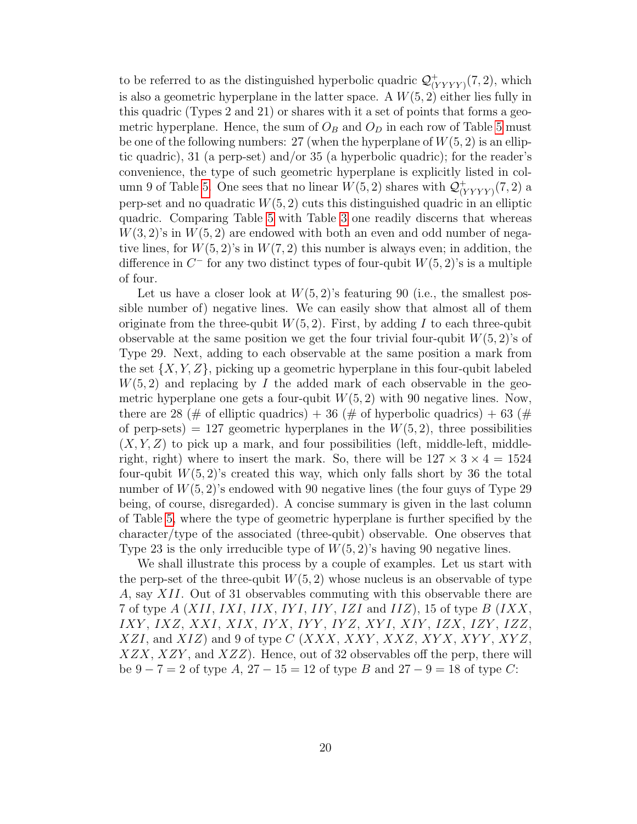to be referred to as the distinguished hyperbolic quadric  $\mathcal{Q}_{0}^{+}$  $(\langle Y Y Y Y \rangle (7, 2), \text{ which}$ is also a geometric hyperplane in the latter space. A  $W(5, 2)$  either lies fully in this quadric (Types 2 and 21) or shares with it a set of points that forms a geometric hyperplane. Hence, the sum of  $O_B$  and  $O_D$  in each row of Table [5](#page-18-0) must be one of the following numbers: 27 (when the hyperplane of  $W(5, 2)$  is an elliptic quadric), 31 (a perp-set) and/or 35 (a hyperbolic quadric); for the reader's convenience, the type of such geometric hyperplane is explicitly listed in col-umn 9 of Table [5.](#page-18-0) One sees that no linear  $W(5, 2)$  shares with  $\mathcal{Q}^+_{0}$  $V_{(YYYY)}^{+}(7,2)$  a perp-set and no quadratic  $W(5, 2)$  cuts this distinguished quadric in an elliptic quadric. Comparing Table [5](#page-18-0) with Table [3](#page-8-0) one readily discerns that whereas  $W(3, 2)$ 's in  $W(5, 2)$  are endowed with both an even and odd number of negative lines, for  $W(5, 2)$ 's in  $W(7, 2)$  this number is always even; in addition, the difference in  $C^-$  for any two distinct types of four-qubit  $W(5, 2)$ 's is a multiple of four.

Let us have a closer look at  $W(5, 2)$ 's featuring 90 (i.e., the smallest possible number of) negative lines. We can easily show that almost all of them originate from the three-qubit  $W(5, 2)$ . First, by adding I to each three-qubit observable at the same position we get the four trivial four-qubit  $W(5, 2)$ 's of Type 29. Next, adding to each observable at the same position a mark from the set  $\{X, Y, Z\}$ , picking up a geometric hyperplane in this four-qubit labeled  $W(5, 2)$  and replacing by I the added mark of each observable in the geometric hyperplane one gets a four-qubit  $W(5, 2)$  with 90 negative lines. Now, there are 28 (# of elliptic quadrics) + 36 (# of hyperbolic quadrics) + 63 (# of perp-sets) = 127 geometric hyperplanes in the  $W(5, 2)$ , three possibilities  $(X, Y, Z)$  to pick up a mark, and four possibilities (left, middle-left, middleright, right) where to insert the mark. So, there will be  $127 \times 3 \times 4 = 1524$ four-qubit  $W(5, 2)$ 's created this way, which only falls short by 36 the total number of  $W(5, 2)$ 's endowed with 90 negative lines (the four guys of Type 29 being, of course, disregarded). A concise summary is given in the last column of Table [5,](#page-18-0) where the type of geometric hyperplane is further specified by the character/type of the associated (three-qubit) observable. One observes that Type 23 is the only irreducible type of  $W(5, 2)$ 's having 90 negative lines.

We shall illustrate this process by a couple of examples. Let us start with the perp-set of the three-qubit  $W(5, 2)$  whose nucleus is an observable of type A, say XII. Out of 31 observables commuting with this observable there are 7 of type  $A(XII,IXI,IIX,IYI,IIY,IZI \text{ and } IIZ)$ , 15 of type  $B(IXX, YI, IIX, IYI, IIY, IZI \text{ and } IIZ)$ IXY , IXZ, XXI, XIX, IY X, IY Y , IY Z, XY I, XIY , IZX, IZY , IZZ,  $XZI$ , and  $XIZ$ ) and 9 of type  $C(XXX, XXY, XXZ, XYX, XYY, XYZ,$  $XZX, XZY$ , and  $XZZ$ ). Hence, out of 32 observables off the perp, there will be  $9 - 7 = 2$  of type  $A$ ,  $27 - 15 = 12$  of type  $B$  and  $27 - 9 = 18$  of type  $C$ :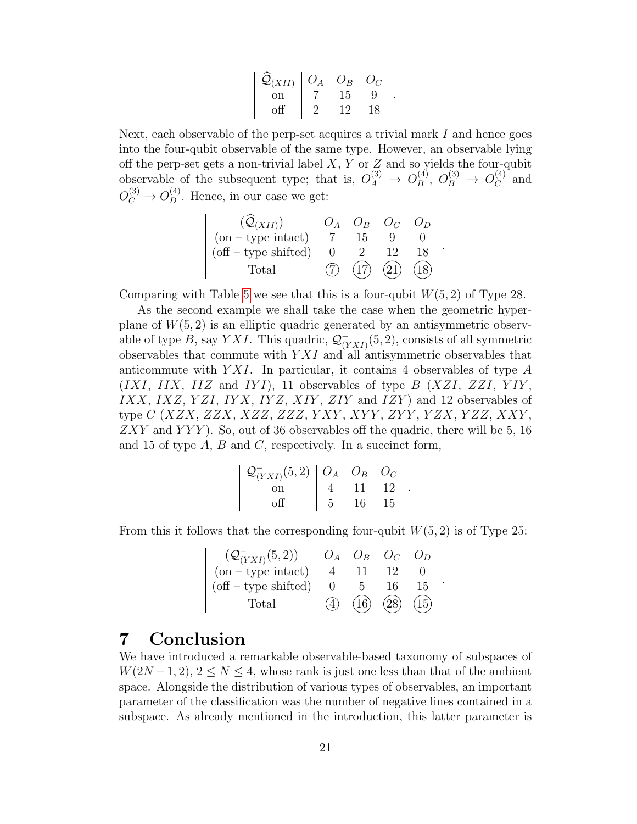| $\mathcal{Q}_{(XII)}$ | $O_A$ | $O_B$ | $O_C$ |  |
|-----------------------|-------|-------|-------|--|
| on                    |       | T.5   |       |  |
|                       |       | l 'J  | IΧ    |  |

Next, each observable of the perp-set acquires a trivial mark  $I$  and hence goes into the four-qubit observable of the same type. However, an observable lying off the perp-set gets a non-trivial label  $X, Y$  or  $Z$  and so yields the four-qubit observable of the subsequent type; that is,  $O_A^{(3)} \rightarrow O_B^{(4)}$  $B^{(4)}$ ,  $O_B^{(3)} \rightarrow O_C^{(4)}$  $\mathcal{C}^{(4)}$  and  $O_C^{(3)} \to O_D^{(4)}$ . Hence, in our case we get:

| $\mathcal{Q}_{(XII)}$  |  |  |  |
|------------------------|--|--|--|
| $(on - type intact)$   |  |  |  |
| $(off - type shifted)$ |  |  |  |
| Total                  |  |  |  |

Comparing with Table [5](#page-18-0) we see that this is a four-qubit  $W(5, 2)$  of Type 28.

As the second example we shall take the case when the geometric hyperplane of  $W(5, 2)$  is an elliptic quadric generated by an antisymmetric observable of type B, say YXI. This quadric,  $\mathcal{Q}_{\alpha}^ \bar{C}_{(YXI)}(5,2)$ , consists of all symmetric observables that commute with  $Y X I$  and all antisymmetric observables that anticommute with  $YXI$ . In particular, it contains 4 observables of type A  $(IXI, IIX, IIZ \text{ and } IYI), 11 \text{ observables of type } B(XZI, ZZI, YIY, Y)$ IXX, IXZ, YZI, IYX, IYZ, XIY, ZIY and IZY) and 12 observables of type *C* (*XZX*, *ZZX*, *XZZ*, *ZZZ*, *YXY*, *XYY*, *ZYY*, *YZX*, *YZZ*, *XXY*,  $ZXY$  and  $YYY$ ). So, out of 36 observables off the quadric, there will be 5, 16 and 15 of type  $A, B$  and  $C$ , respectively. In a succinct form,

| $\mathcal{Q}_{(YXI)}^-(5,2)   O_A O_B O_C  $ |       |    |                     |  |
|----------------------------------------------|-------|----|---------------------|--|
|                                              |       |    | $11 \quad 12 \quad$ |  |
|                                              | $5 -$ | 16 | 15                  |  |

From this it follows that the corresponding four-qubit  $W(5, 2)$  is of Type 25:

| $(Q^-_{(YXI)}(5,2))$   | $O_B$ |    |  |
|------------------------|-------|----|--|
| $(on - type intact)$   |       |    |  |
| $(off - type shifted)$ |       | 15 |  |
| Total                  | 16    |    |  |

### 7 Conclusion

We have introduced a remarkable observable-based taxonomy of subspaces of  $W(2N-1, 2), 2 \leq N \leq 4$ , whose rank is just one less than that of the ambient space. Alongside the distribution of various types of observables, an important parameter of the classification was the number of negative lines contained in a subspace. As already mentioned in the introduction, this latter parameter is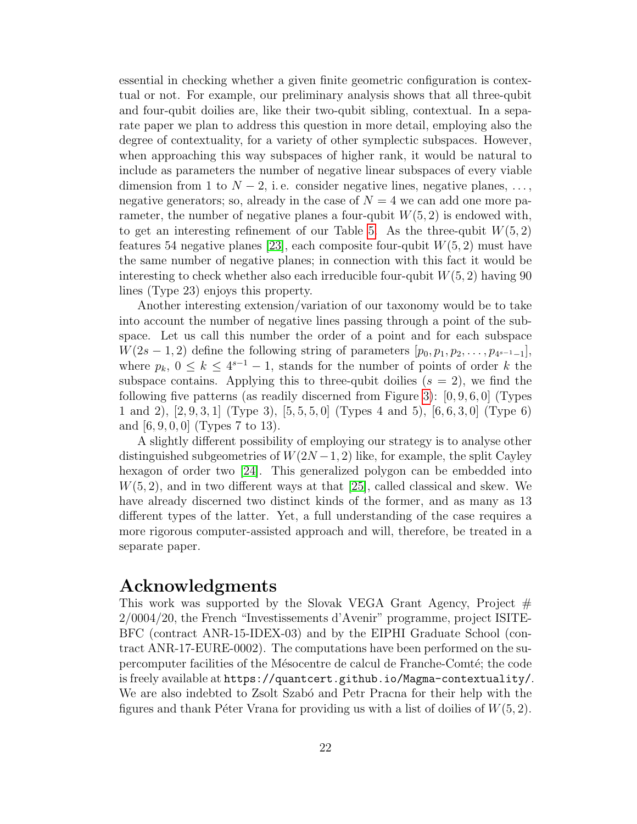essential in checking whether a given finite geometric configuration is contextual or not. For example, our preliminary analysis shows that all three-qubit and four-qubit doilies are, like their two-qubit sibling, contextual. In a separate paper we plan to address this question in more detail, employing also the degree of contextuality, for a variety of other symplectic subspaces. However, when approaching this way subspaces of higher rank, it would be natural to include as parameters the number of negative linear subspaces of every viable dimension from 1 to  $N-2$ , i.e. consider negative lines, negative planes, ..., negative generators; so, already in the case of  $N = 4$  we can add one more parameter, the number of negative planes a four-qubit  $W(5, 2)$  is endowed with, to get an interesting refinement of our Table [5.](#page-18-0) As the three-qubit  $W(5, 2)$ features 54 negative planes [\[23\]](#page-23-7), each composite four-qubit  $W(5, 2)$  must have the same number of negative planes; in connection with this fact it would be interesting to check whether also each irreducible four-qubit  $W(5, 2)$  having 90 lines (Type 23) enjoys this property.

Another interesting extension/variation of our taxonomy would be to take into account the number of negative lines passing through a point of the subspace. Let us call this number the order of a point and for each subspace  $W(2s-1, 2)$  define the following string of parameters  $[p_0, p_1, p_2, \ldots, p_{4^{s-1}-1}],$ where  $p_k$ ,  $0 \leq k \leq 4^{s-1} - 1$ , stands for the number of points of order k the subspace contains. Applying this to three-qubit doilies  $(s = 2)$ , we find the following five patterns (as readily discerned from Figure [3\)](#page-8-0):  $[0, 9, 6, 0]$  (Types 1 and 2), [2, 9, 3, 1] (Type 3), [5, 5, 5, 0] (Types 4 and 5), [6, 6, 3, 0] (Type 6) and [6, 9, 0, 0] (Types 7 to 13).

A slightly different possibility of employing our strategy is to analyse other distinguished subgeometries of  $W(2N-1, 2)$  like, for example, the split Cayley hexagon of order two [\[24\]](#page-23-8). This generalized polygon can be embedded into  $W(5, 2)$ , and in two different ways at that [\[25\]](#page-23-9), called classical and skew. We have already discerned two distinct kinds of the former, and as many as 13 different types of the latter. Yet, a full understanding of the case requires a more rigorous computer-assisted approach and will, therefore, be treated in a separate paper.

#### Acknowledgments

This work was supported by the Slovak VEGA Grant Agency, Project  $#$ 2/0004/20, the French "Investissements d'Avenir" programme, project ISITE-BFC (contract ANR-15-IDEX-03) and by the EIPHI Graduate School (contract ANR-17-EURE-0002). The computations have been performed on the supercomputer facilities of the Mésocentre de calcul de Franche-Comté; the code is freely available at https://quantcert.github.io/Magma-contextuality/. We are also indebted to Zsolt Szabó and Petr Pracna for their help with the figures and thank Péter Vrana for providing us with a list of doilies of  $W(5, 2)$ .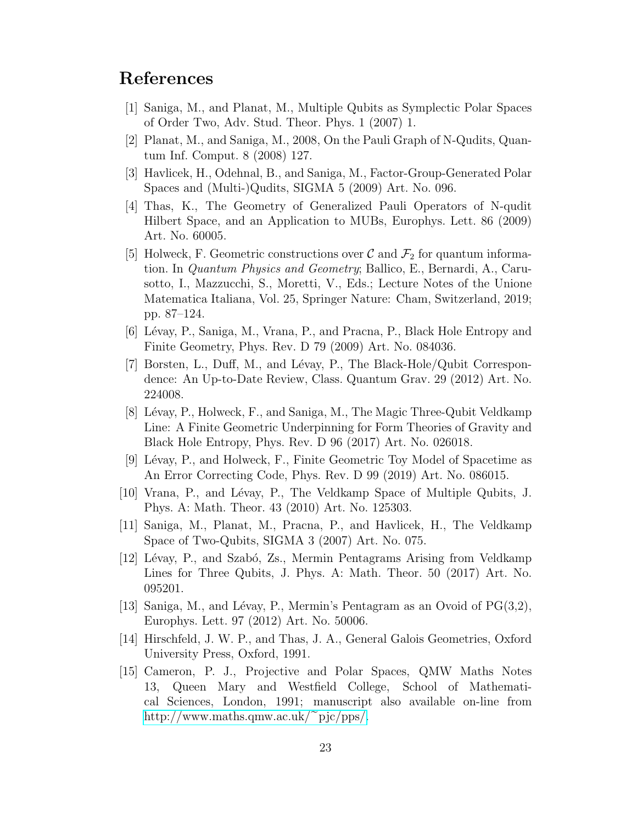### References

- <span id="page-22-0"></span>[1] Saniga, M., and Planat, M., Multiple Qubits as Symplectic Polar Spaces of Order Two, Adv. Stud. Theor. Phys. 1 (2007) 1.
- <span id="page-22-1"></span>[2] Planat, M., and Saniga, M., 2008, On the Pauli Graph of N-Qudits, Quantum Inf. Comput. 8 (2008) 127.
- <span id="page-22-2"></span>[3] Havlicek, H., Odehnal, B., and Saniga, M., Factor-Group-Generated Polar Spaces and (Multi-)Qudits, SIGMA 5 (2009) Art. No. 096.
- <span id="page-22-3"></span>[4] Thas, K., The Geometry of Generalized Pauli Operators of N-qudit Hilbert Space, and an Application to MUBs, Europhys. Lett. 86 (2009) Art. No. 60005.
- <span id="page-22-4"></span>[5] Holweck, F. Geometric constructions over  $\mathcal C$  and  $\mathcal F_2$  for quantum information. In Quantum Physics and Geometry; Ballico, E., Bernardi, A., Carusotto, I., Mazzucchi, S., Moretti, V., Eds.; Lecture Notes of the Unione Matematica Italiana, Vol. 25, Springer Nature: Cham, Switzerland, 2019; pp. 87–124.
- <span id="page-22-5"></span>[6] Lévay, P., Saniga, M., Vrana, P., and Pracna, P., Black Hole Entropy and Finite Geometry, Phys. Rev. D 79 (2009) Art. No. 084036.
- <span id="page-22-6"></span> $[7]$  Borsten, L., Duff, M., and Lévay, P., The Black-Hole/Qubit Correspondence: An Up-to-Date Review, Class. Quantum Grav. 29 (2012) Art. No. 224008.
- <span id="page-22-7"></span>[8] Lévay, P., Holweck, F., and Saniga, M., The Magic Three-Qubit Veldkamp Line: A Finite Geometric Underpinning for Form Theories of Gravity and Black Hole Entropy, Phys. Rev. D 96 (2017) Art. No. 026018.
- <span id="page-22-8"></span>[9] Lévay, P., and Holweck, F., Finite Geometric Toy Model of Spacetime as An Error Correcting Code, Phys. Rev. D 99 (2019) Art. No. 086015.
- <span id="page-22-9"></span>[10] Vrana, P., and Lévay, P., The Veldkamp Space of Multiple Qubits, J. Phys. A: Math. Theor. 43 (2010) Art. No. 125303.
- <span id="page-22-10"></span>[11] Saniga, M., Planat, M., Pracna, P., and Havlicek, H., The Veldkamp Space of Two-Qubits, SIGMA 3 (2007) Art. No. 075.
- <span id="page-22-11"></span>[12] Lévay, P., and Szabó, Zs., Mermin Pentagrams Arising from Veldkamp Lines for Three Qubits, J. Phys. A: Math. Theor. 50 (2017) Art. No. 095201.
- <span id="page-22-12"></span>[13] Saniga, M., and Lévay, P., Mermin's Pentagram as an Ovoid of  $PG(3,2)$ , Europhys. Lett. 97 (2012) Art. No. 50006.
- <span id="page-22-13"></span>[14] Hirschfeld, J. W. P., and Thas, J. A., General Galois Geometries, Oxford University Press, Oxford, 1991.
- <span id="page-22-14"></span>[15] Cameron, P. J., Projective and Polar Spaces, QMW Maths Notes 13, Queen Mary and Westfield College, School of Mathematical Sciences, London, 1991; manuscript also available on-line from [http://www.maths.qmw.ac.uk/](http://www.maths.qmw.ac.uk/~pjc/pps/) $\epsilon_{\text{pic/pps}}/$ .